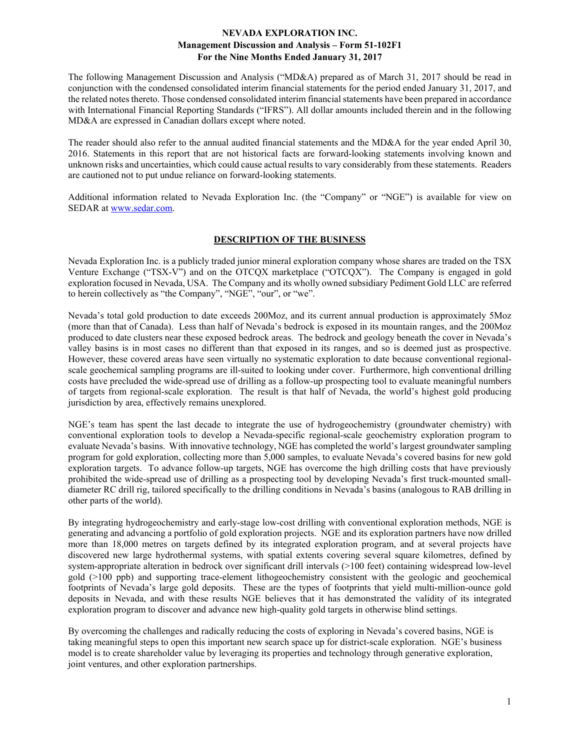The following Management Discussion and Analysis ("MD&A) prepared as of March 31, 2017 should be read in conjunction with the condensed consolidated interim financial statements for the period ended January 31, 2017, and the related notes thereto. Those condensed consolidated interim financial statements have been prepared in accordance with International Financial Reporting Standards ("IFRS"). All dollar amounts included therein and in the following MD&A are expressed in Canadian dollars except where noted.

The reader should also refer to the annual audited financial statements and the MD&A for the year ended April 30, 2016. Statements in this report that are not historical facts are forward-looking statements involving known and unknown risks and uncertainties, which could cause actual results to vary considerably from these statements. Readers are cautioned not to put undue reliance on forward-looking statements.

Additional information related to Nevada Exploration Inc. (the "Company" or "NGE") is available for view on SEDAR at www.sedar.com.

## **DESCRIPTION OF THE BUSINESS**

Nevada Exploration Inc. is a publicly traded junior mineral exploration company whose shares are traded on the TSX Venture Exchange ("TSX-V") and on the OTCQX marketplace ("OTCQX"). The Company is engaged in gold exploration focused in Nevada, USA. The Company and its wholly owned subsidiary Pediment Gold LLC are referred to herein collectively as "the Company", "NGE", "our", or "we".

Nevada's total gold production to date exceeds 200Moz, and its current annual production is approximately 5Moz (more than that of Canada). Less than half of Nevada's bedrock is exposed in its mountain ranges, and the 200Moz produced to date clusters near these exposed bedrock areas. The bedrock and geology beneath the cover in Nevada's valley basins is in most cases no different than that exposed in its ranges, and so is deemed just as prospective. However, these covered areas have seen virtually no systematic exploration to date because conventional regionalscale geochemical sampling programs are ill-suited to looking under cover. Furthermore, high conventional drilling costs have precluded the wide-spread use of drilling as a follow-up prospecting tool to evaluate meaningful numbers of targets from regional-scale exploration. The result is that half of Nevada, the world's highest gold producing jurisdiction by area, effectively remains unexplored.

NGE's team has spent the last decade to integrate the use of hydrogeochemistry (groundwater chemistry) with conventional exploration tools to develop a Nevada-specific regional-scale geochemistry exploration program to evaluate Nevada's basins. With innovative technology, NGE has completed the world's largest groundwater sampling program for gold exploration, collecting more than 5,000 samples, to evaluate Nevada's covered basins for new gold exploration targets. To advance follow-up targets, NGE has overcome the high drilling costs that have previously prohibited the wide-spread use of drilling as a prospecting tool by developing Nevada's first truck-mounted smalldiameter RC drill rig, tailored specifically to the drilling conditions in Nevada's basins (analogous to RAB drilling in other parts of the world).

By integrating hydrogeochemistry and early-stage low-cost drilling with conventional exploration methods, NGE is generating and advancing a portfolio of gold exploration projects. NGE and its exploration partners have now drilled more than 18,000 metres on targets defined by its integrated exploration program, and at several projects have discovered new large hydrothermal systems, with spatial extents covering several square kilometres, defined by system-appropriate alteration in bedrock over significant drill intervals (>100 feet) containing widespread low-level gold (>100 ppb) and supporting trace-element lithogeochemistry consistent with the geologic and geochemical footprints of Nevada's large gold deposits. These are the types of footprints that yield multi-million-ounce gold deposits in Nevada, and with these results NGE believes that it has demonstrated the validity of its integrated exploration program to discover and advance new high-quality gold targets in otherwise blind settings.

By overcoming the challenges and radically reducing the costs of exploring in Nevada's covered basins, NGE is taking meaningful steps to open this important new search space up for district-scale exploration. NGE's business model is to create shareholder value by leveraging its properties and technology through generative exploration, joint ventures, and other exploration partnerships.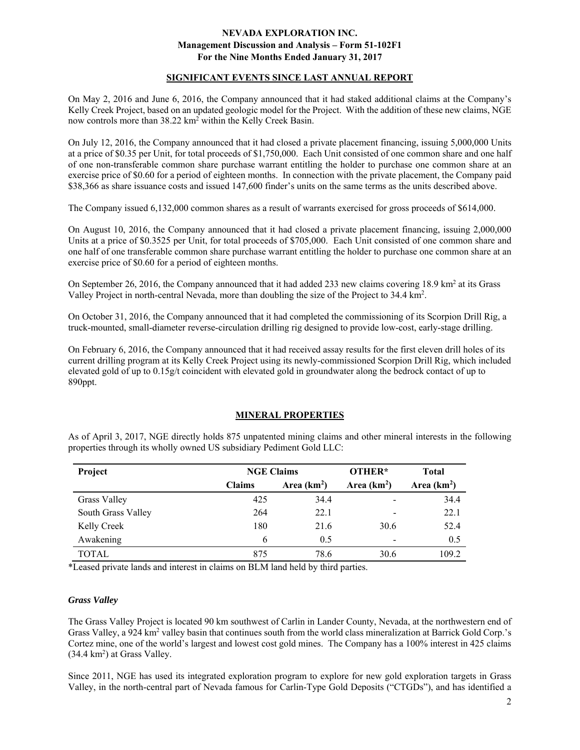#### **SIGNIFICANT EVENTS SINCE LAST ANNUAL REPORT**

On May 2, 2016 and June 6, 2016, the Company announced that it had staked additional claims at the Company's Kelly Creek Project, based on an updated geologic model for the Project. With the addition of these new claims, NGE now controls more than 38.22 km<sup>2</sup> within the Kelly Creek Basin.

On July 12, 2016, the Company announced that it had closed a private placement financing, issuing 5,000,000 Units at a price of \$0.35 per Unit, for total proceeds of \$1,750,000. Each Unit consisted of one common share and one half of one non-transferable common share purchase warrant entitling the holder to purchase one common share at an exercise price of \$0.60 for a period of eighteen months. In connection with the private placement, the Company paid \$38,366 as share issuance costs and issued 147,600 finder's units on the same terms as the units described above.

The Company issued 6,132,000 common shares as a result of warrants exercised for gross proceeds of \$614,000.

On August 10, 2016, the Company announced that it had closed a private placement financing, issuing 2,000,000 Units at a price of \$0.3525 per Unit, for total proceeds of \$705,000. Each Unit consisted of one common share and one half of one transferable common share purchase warrant entitling the holder to purchase one common share at an exercise price of \$0.60 for a period of eighteen months.

On September 26, 2016, the Company announced that it had added 233 new claims covering 18.9 km<sup>2</sup> at its Grass Valley Project in north-central Nevada, more than doubling the size of the Project to 34.4 km<sup>2</sup>.

On October 31, 2016, the Company announced that it had completed the commissioning of its Scorpion Drill Rig, a truck-mounted, small-diameter reverse-circulation drilling rig designed to provide low-cost, early-stage drilling.

On February 6, 2016, the Company announced that it had received assay results for the first eleven drill holes of its current drilling program at its Kelly Creek Project using its newly-commissioned Scorpion Drill Rig, which included elevated gold of up to 0.15g/t coincident with elevated gold in groundwater along the bedrock contact of up to 890ppt.

## **MINERAL PROPERTIES**

As of April 3, 2017, NGE directly holds 875 unpatented mining claims and other mineral interests in the following properties through its wholly owned US subsidiary Pediment Gold LLC:

| Project            | <b>NGE Claims</b> |              | OTHER*       | <b>Total</b> |
|--------------------|-------------------|--------------|--------------|--------------|
|                    | <b>Claims</b>     | Area $(km2)$ | Area $(km2)$ | Area $(km2)$ |
| Grass Valley       | 425               | 34.4         | -            | 34.4         |
| South Grass Valley | 264               | 22.1         | -            | 22.1         |
| Kelly Creek        | 180               | 21.6         | 30.6         | 52.4         |
| Awakening          | 6                 | 0.5          |              | 0.5          |
| <b>TOTAL</b>       | 875               | 78.6         | 30.6         | 109.2        |

\*Leased private lands and interest in claims on BLM land held by third parties.

#### *Grass Valley*

The Grass Valley Project is located 90 km southwest of Carlin in Lander County, Nevada, at the northwestern end of Grass Valley, a 924 km<sup>2</sup> valley basin that continues south from the world class mineralization at Barrick Gold Corp.'s Cortez mine, one of the world's largest and lowest cost gold mines. The Company has a 100% interest in 425 claims  $(34.4 \text{ km}^2)$  at Grass Valley.

Since 2011, NGE has used its integrated exploration program to explore for new gold exploration targets in Grass Valley, in the north-central part of Nevada famous for Carlin-Type Gold Deposits ("CTGDs"), and has identified a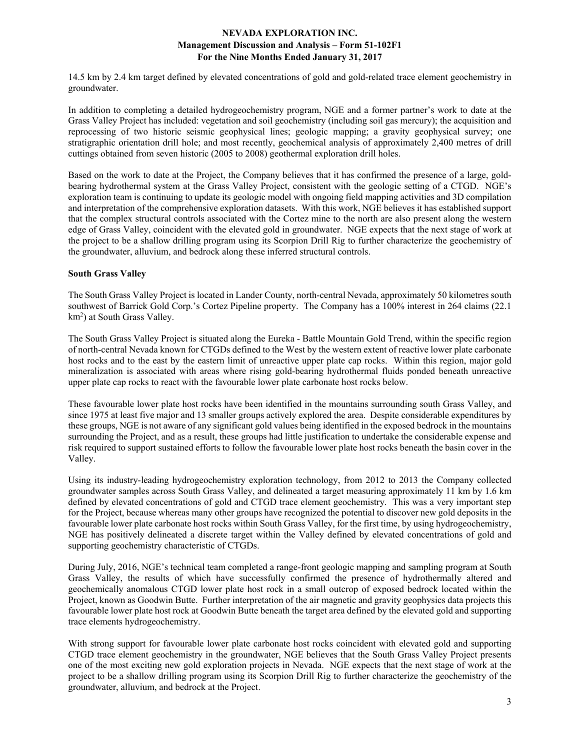14.5 km by 2.4 km target defined by elevated concentrations of gold and gold-related trace element geochemistry in groundwater.

In addition to completing a detailed hydrogeochemistry program, NGE and a former partner's work to date at the Grass Valley Project has included: vegetation and soil geochemistry (including soil gas mercury); the acquisition and reprocessing of two historic seismic geophysical lines; geologic mapping; a gravity geophysical survey; one stratigraphic orientation drill hole; and most recently, geochemical analysis of approximately 2,400 metres of drill cuttings obtained from seven historic (2005 to 2008) geothermal exploration drill holes.

Based on the work to date at the Project, the Company believes that it has confirmed the presence of a large, goldbearing hydrothermal system at the Grass Valley Project, consistent with the geologic setting of a CTGD. NGE's exploration team is continuing to update its geologic model with ongoing field mapping activities and 3D compilation and interpretation of the comprehensive exploration datasets. With this work, NGE believes it has established support that the complex structural controls associated with the Cortez mine to the north are also present along the western edge of Grass Valley, coincident with the elevated gold in groundwater. NGE expects that the next stage of work at the project to be a shallow drilling program using its Scorpion Drill Rig to further characterize the geochemistry of the groundwater, alluvium, and bedrock along these inferred structural controls.

## **South Grass Valley**

The South Grass Valley Project is located in Lander County, north-central Nevada, approximately 50 kilometres south southwest of Barrick Gold Corp.'s Cortez Pipeline property. The Company has a 100% interest in 264 claims (22.1 km<sup>2</sup>) at South Grass Valley.

The South Grass Valley Project is situated along the Eureka - Battle Mountain Gold Trend, within the specific region of north-central Nevada known for CTGDs defined to the West by the western extent of reactive lower plate carbonate host rocks and to the east by the eastern limit of unreactive upper plate cap rocks. Within this region, major gold mineralization is associated with areas where rising gold-bearing hydrothermal fluids ponded beneath unreactive upper plate cap rocks to react with the favourable lower plate carbonate host rocks below.

These favourable lower plate host rocks have been identified in the mountains surrounding south Grass Valley, and since 1975 at least five major and 13 smaller groups actively explored the area. Despite considerable expenditures by these groups, NGE is not aware of any significant gold values being identified in the exposed bedrock in the mountains surrounding the Project, and as a result, these groups had little justification to undertake the considerable expense and risk required to support sustained efforts to follow the favourable lower plate host rocks beneath the basin cover in the Valley.

Using its industry-leading hydrogeochemistry exploration technology, from 2012 to 2013 the Company collected groundwater samples across South Grass Valley, and delineated a target measuring approximately 11 km by 1.6 km defined by elevated concentrations of gold and CTGD trace element geochemistry. This was a very important step for the Project, because whereas many other groups have recognized the potential to discover new gold deposits in the favourable lower plate carbonate host rocks within South Grass Valley, for the first time, by using hydrogeochemistry, NGE has positively delineated a discrete target within the Valley defined by elevated concentrations of gold and supporting geochemistry characteristic of CTGDs.

During July, 2016, NGE's technical team completed a range-front geologic mapping and sampling program at South Grass Valley, the results of which have successfully confirmed the presence of hydrothermally altered and geochemically anomalous CTGD lower plate host rock in a small outcrop of exposed bedrock located within the Project, known as Goodwin Butte. Further interpretation of the air magnetic and gravity geophysics data projects this favourable lower plate host rock at Goodwin Butte beneath the target area defined by the elevated gold and supporting trace elements hydrogeochemistry.

With strong support for favourable lower plate carbonate host rocks coincident with elevated gold and supporting CTGD trace element geochemistry in the groundwater, NGE believes that the South Grass Valley Project presents one of the most exciting new gold exploration projects in Nevada. NGE expects that the next stage of work at the project to be a shallow drilling program using its Scorpion Drill Rig to further characterize the geochemistry of the groundwater, alluvium, and bedrock at the Project.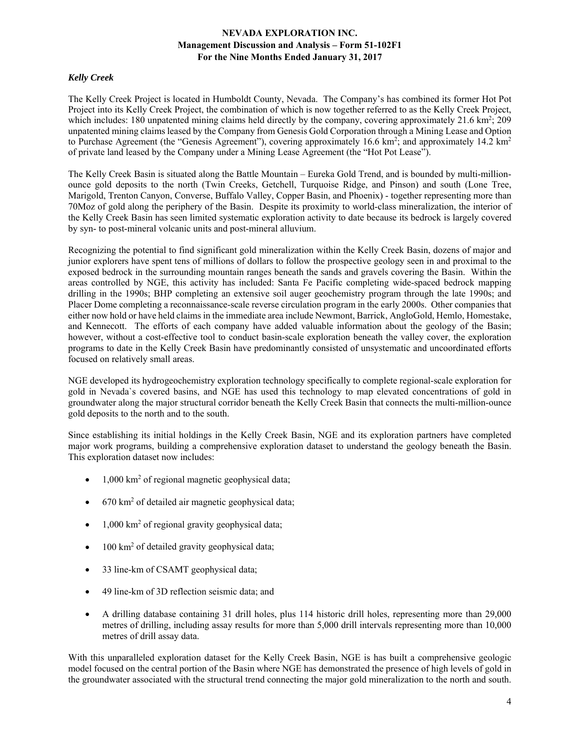## *Kelly Creek*

The Kelly Creek Project is located in Humboldt County, Nevada. The Company's has combined its former Hot Pot Project into its Kelly Creek Project, the combination of which is now together referred to as the Kelly Creek Project, which includes: 180 unpatented mining claims held directly by the company, covering approximately  $21.6 \text{ km}^2$ ;  $209$ unpatented mining claims leased by the Company from Genesis Gold Corporation through a Mining Lease and Option to Purchase Agreement (the "Genesis Agreement"), covering approximately 16.6 km<sup>2</sup>; and approximately 14.2 km<sup>2</sup> of private land leased by the Company under a Mining Lease Agreement (the "Hot Pot Lease").

The Kelly Creek Basin is situated along the Battle Mountain – Eureka Gold Trend, and is bounded by multi-millionounce gold deposits to the north (Twin Creeks, Getchell, Turquoise Ridge, and Pinson) and south (Lone Tree, Marigold, Trenton Canyon, Converse, Buffalo Valley, Copper Basin, and Phoenix) - together representing more than 70Moz of gold along the periphery of the Basin. Despite its proximity to world-class mineralization, the interior of the Kelly Creek Basin has seen limited systematic exploration activity to date because its bedrock is largely covered by syn- to post-mineral volcanic units and post-mineral alluvium.

Recognizing the potential to find significant gold mineralization within the Kelly Creek Basin, dozens of major and junior explorers have spent tens of millions of dollars to follow the prospective geology seen in and proximal to the exposed bedrock in the surrounding mountain ranges beneath the sands and gravels covering the Basin. Within the areas controlled by NGE, this activity has included: Santa Fe Pacific completing wide-spaced bedrock mapping drilling in the 1990s; BHP completing an extensive soil auger geochemistry program through the late 1990s; and Placer Dome completing a reconnaissance-scale reverse circulation program in the early 2000s. Other companies that either now hold or have held claims in the immediate area include Newmont, Barrick, AngloGold, Hemlo, Homestake, and Kennecott. The efforts of each company have added valuable information about the geology of the Basin; however, without a cost-effective tool to conduct basin-scale exploration beneath the valley cover, the exploration programs to date in the Kelly Creek Basin have predominantly consisted of unsystematic and uncoordinated efforts focused on relatively small areas.

NGE developed its hydrogeochemistry exploration technology specifically to complete regional-scale exploration for gold in Nevada`s covered basins, and NGE has used this technology to map elevated concentrations of gold in groundwater along the major structural corridor beneath the Kelly Creek Basin that connects the multi-million-ounce gold deposits to the north and to the south.

Since establishing its initial holdings in the Kelly Creek Basin, NGE and its exploration partners have completed major work programs, building a comprehensive exploration dataset to understand the geology beneath the Basin. This exploration dataset now includes:

- 1,000 km<sup>2</sup> of regional magnetic geophysical data;
- 670 km<sup>2</sup> of detailed air magnetic geophysical data;
- $\bullet$  1,000 km<sup>2</sup> of regional gravity geophysical data;
- 100 km<sup>2</sup> of detailed gravity geophysical data;
- 33 line-km of CSAMT geophysical data;
- 49 line-km of 3D reflection seismic data; and
- A drilling database containing 31 drill holes, plus 114 historic drill holes, representing more than 29,000 metres of drilling, including assay results for more than 5,000 drill intervals representing more than 10,000 metres of drill assay data.

With this unparalleled exploration dataset for the Kelly Creek Basin, NGE is has built a comprehensive geologic model focused on the central portion of the Basin where NGE has demonstrated the presence of high levels of gold in the groundwater associated with the structural trend connecting the major gold mineralization to the north and south.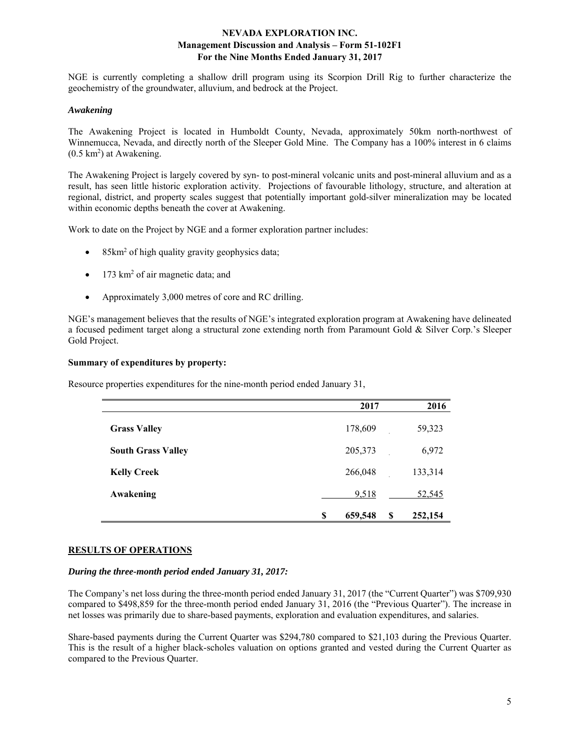NGE is currently completing a shallow drill program using its Scorpion Drill Rig to further characterize the geochemistry of the groundwater, alluvium, and bedrock at the Project.

#### *Awakening*

The Awakening Project is located in Humboldt County, Nevada, approximately 50km north-northwest of Winnemucca, Nevada, and directly north of the Sleeper Gold Mine. The Company has a 100% interest in 6 claims  $(0.5 \text{ km}^2)$  at Awakening.

The Awakening Project is largely covered by syn- to post-mineral volcanic units and post-mineral alluvium and as a result, has seen little historic exploration activity. Projections of favourable lithology, structure, and alteration at regional, district, and property scales suggest that potentially important gold-silver mineralization may be located within economic depths beneath the cover at Awakening.

Work to date on the Project by NGE and a former exploration partner includes:

- 85km<sup>2</sup> of high quality gravity geophysics data;
- $\bullet$  173 km<sup>2</sup> of air magnetic data; and
- Approximately 3,000 metres of core and RC drilling.

NGE's management believes that the results of NGE's integrated exploration program at Awakening have delineated a focused pediment target along a structural zone extending north from Paramount Gold & Silver Corp.'s Sleeper Gold Project.

#### **Summary of expenditures by property:**

Resource properties expenditures for the nine-month period ended January 31,

|                           | 2017          |   | 2016          |
|---------------------------|---------------|---|---------------|
| <b>Grass Valley</b>       | 178,609       |   | 59,323        |
| <b>South Grass Valley</b> | 205,373       |   | 6,972         |
| <b>Kelly Creek</b>        | 266,048       |   | 133,314       |
| Awakening                 | 9,518         |   | <u>52,545</u> |
|                           | \$<br>659,548 | S | 252,154       |

## **RESULTS OF OPERATIONS**

#### *During the three-month period ended January 31, 2017:*

The Company's net loss during the three-month period ended January 31, 2017 (the "Current Quarter") was \$709,930 compared to \$498,859 for the three-month period ended January 31, 2016 (the "Previous Quarter"). The increase in net losses was primarily due to share-based payments, exploration and evaluation expenditures, and salaries.

Share-based payments during the Current Quarter was \$294,780 compared to \$21,103 during the Previous Quarter. This is the result of a higher black-scholes valuation on options granted and vested during the Current Quarter as compared to the Previous Quarter.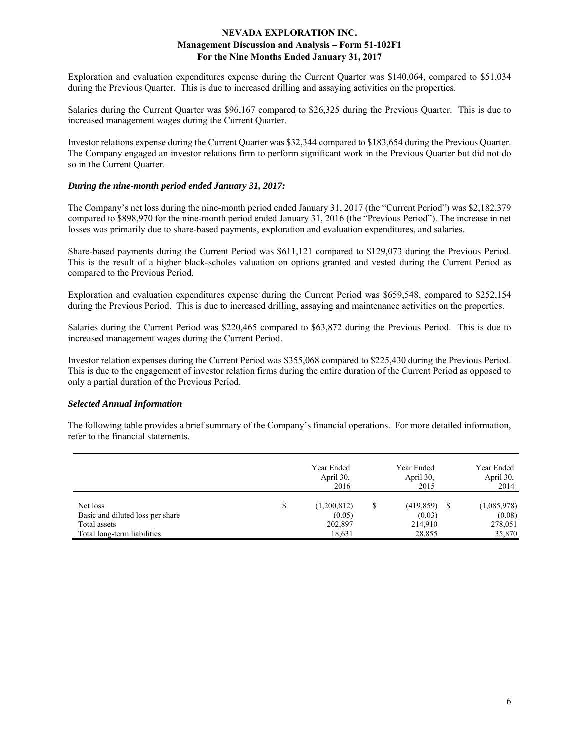Exploration and evaluation expenditures expense during the Current Quarter was \$140,064, compared to \$51,034 during the Previous Quarter. This is due to increased drilling and assaying activities on the properties.

Salaries during the Current Quarter was \$96,167 compared to \$26,325 during the Previous Quarter. This is due to increased management wages during the Current Quarter.

Investor relations expense during the Current Quarter was \$32,344 compared to \$183,654 during the Previous Quarter. The Company engaged an investor relations firm to perform significant work in the Previous Quarter but did not do so in the Current Quarter.

### *During the nine-month period ended January 31, 2017:*

The Company's net loss during the nine-month period ended January 31, 2017 (the "Current Period") was \$2,182,379 compared to \$898,970 for the nine-month period ended January 31, 2016 (the "Previous Period"). The increase in net losses was primarily due to share-based payments, exploration and evaluation expenditures, and salaries.

Share-based payments during the Current Period was \$611,121 compared to \$129,073 during the Previous Period. This is the result of a higher black-scholes valuation on options granted and vested during the Current Period as compared to the Previous Period.

Exploration and evaluation expenditures expense during the Current Period was \$659,548, compared to \$252,154 during the Previous Period. This is due to increased drilling, assaying and maintenance activities on the properties.

Salaries during the Current Period was \$220,465 compared to \$63,872 during the Previous Period. This is due to increased management wages during the Current Period.

Investor relation expenses during the Current Period was \$355,068 compared to \$225,430 during the Previous Period. This is due to the engagement of investor relation firms during the entire duration of the Current Period as opposed to only a partial duration of the Previous Period.

## *Selected Annual Information*

The following table provides a brief summary of the Company's financial operations. For more detailed information, refer to the financial statements.

|                                                  | Year Ended<br>April 30,<br>2016 |   | Year Ended<br>April 30,<br>2015 | Year Ended<br>April 30,<br>2014 |
|--------------------------------------------------|---------------------------------|---|---------------------------------|---------------------------------|
| Net loss                                         | \$<br>(1,200,812)               | S | (419, 859)                      | (1,085,978)                     |
| Basic and diluted loss per share<br>Total assets | (0.05)<br>202,897               |   | (0.03)<br>214,910               | (0.08)<br>278,051               |
| Total long-term liabilities                      | 18,631                          |   | 28,855                          | 35,870                          |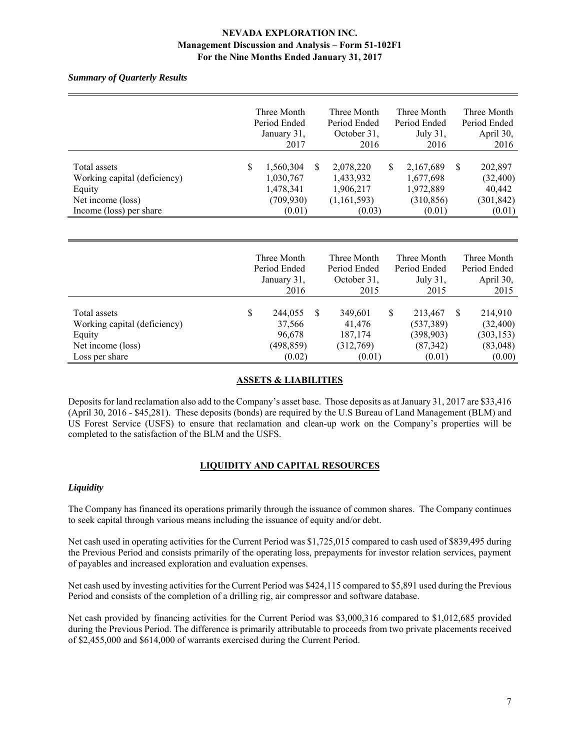*Summary of Quarterly Results* 

|                                                                                                        |   | Three Month<br>Period Ended<br>January 31,<br>2017          |          | Three Month<br>Period Ended<br>October 31,<br>2016           |   | Three Month<br>Period Ended<br>July $31$ ,<br>2016          |   | Three Month<br>Period Ended<br>April 30,<br>2016       |
|--------------------------------------------------------------------------------------------------------|---|-------------------------------------------------------------|----------|--------------------------------------------------------------|---|-------------------------------------------------------------|---|--------------------------------------------------------|
| Total assets<br>Working capital (deficiency)<br>Equity<br>Net income (loss)<br>Income (loss) per share | S | 1,560,304<br>1,030,767<br>1,478,341<br>(709, 930)<br>(0.01) | <b>S</b> | 2,078,220<br>1,433,932<br>1,906,217<br>(1,161,593)<br>(0.03) | S | 2,167,689<br>1,677,698<br>1,972,889<br>(310, 856)<br>(0.01) | S | 202,897<br>(32, 400)<br>40,442<br>(301, 842)<br>(0.01) |

|                                              | Three Month<br>Period Ended<br>January 31, |   | Three Month<br>Period Ended<br>October 31, | Three Month<br>Period Ended<br>July 31, | Three Month<br>Period Ended<br>April 30, |
|----------------------------------------------|--------------------------------------------|---|--------------------------------------------|-----------------------------------------|------------------------------------------|
|                                              | 2016                                       |   | 2015                                       | 2015                                    | 2015                                     |
| Total assets<br>Working capital (deficiency) | \$<br>244,055<br>37,566                    | S | 349,601<br>41,476                          | \$<br>213,467<br>(537, 389)             | 214,910<br>(32, 400)                     |
| Equity                                       | 96,678                                     |   | 187,174                                    | (398, 903)                              | (303, 153)                               |
| Net income (loss)                            | (498, 859)                                 |   | (312,769)                                  | (87, 342)                               | (83,048)                                 |
| Loss per share                               | (0.02)                                     |   | (0.01)                                     | (0.01)                                  | (0.00)                                   |

## **ASSETS & LIABILITIES**

Deposits for land reclamation also add to the Company's asset base. Those deposits as at January 31, 2017 are \$33,416 (April 30, 2016 - \$45,281). These deposits (bonds) are required by the U.S Bureau of Land Management (BLM) and US Forest Service (USFS) to ensure that reclamation and clean-up work on the Company's properties will be completed to the satisfaction of the BLM and the USFS.

# **LIQUIDITY AND CAPITAL RESOURCES**

## *Liquidity*

The Company has financed its operations primarily through the issuance of common shares. The Company continues to seek capital through various means including the issuance of equity and/or debt.

Net cash used in operating activities for the Current Period was \$1,725,015 compared to cash used of \$839,495 during the Previous Period and consists primarily of the operating loss, prepayments for investor relation services, payment of payables and increased exploration and evaluation expenses.

Net cash used by investing activities for the Current Period was \$424,115 compared to \$5,891 used during the Previous Period and consists of the completion of a drilling rig, air compressor and software database.

Net cash provided by financing activities for the Current Period was \$3,000,316 compared to \$1,012,685 provided during the Previous Period. The difference is primarily attributable to proceeds from two private placements received of \$2,455,000 and \$614,000 of warrants exercised during the Current Period.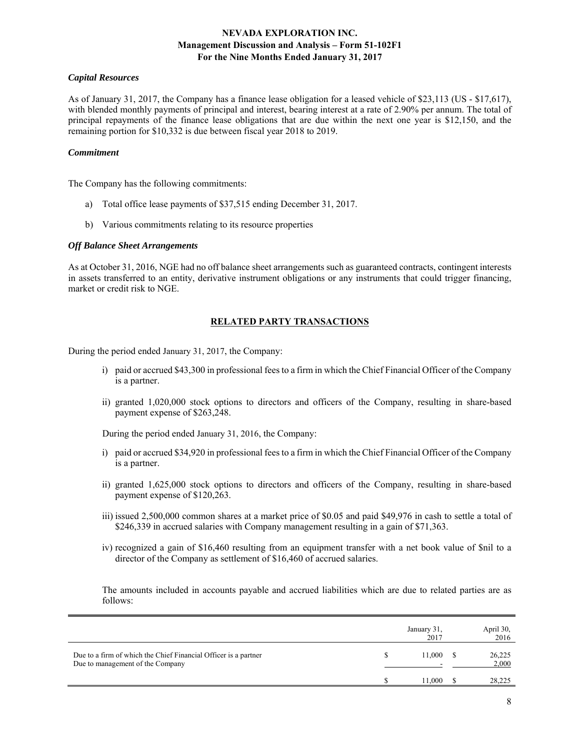#### *Capital Resources*

As of January 31, 2017, the Company has a finance lease obligation for a leased vehicle of \$23,113 (US - \$17,617), with blended monthly payments of principal and interest, bearing interest at a rate of 2.90% per annum. The total of principal repayments of the finance lease obligations that are due within the next one year is \$12,150, and the remaining portion for \$10,332 is due between fiscal year 2018 to 2019.

#### *Commitment*

The Company has the following commitments:

- a) Total office lease payments of \$37,515 ending December 31, 2017.
- b) Various commitments relating to its resource properties

#### *Off Balance Sheet Arrangements*

As at October 31, 2016, NGE had no off balance sheet arrangements such as guaranteed contracts, contingent interests in assets transferred to an entity, derivative instrument obligations or any instruments that could trigger financing, market or credit risk to NGE.

## **RELATED PARTY TRANSACTIONS**

During the period ended January 31, 2017, the Company:

- i) paid or accrued \$43,300 in professional fees to a firm in which the Chief Financial Officer of the Company is a partner.
- ii) granted 1,020,000 stock options to directors and officers of the Company, resulting in share-based payment expense of \$263,248.

During the period ended January 31, 2016, the Company:

- i) paid or accrued \$34,920 in professional fees to a firm in which the Chief Financial Officer of the Company is a partner.
- ii) granted 1,625,000 stock options to directors and officers of the Company, resulting in share-based payment expense of \$120,263.
- iii) issued 2,500,000 common shares at a market price of \$0.05 and paid \$49,976 in cash to settle a total of \$246,339 in accrued salaries with Company management resulting in a gain of \$71,363.
- iv) recognized a gain of \$16,460 resulting from an equipment transfer with a net book value of \$nil to a director of the Company as settlement of \$16,460 of accrued salaries.

The amounts included in accounts payable and accrued liabilities which are due to related parties are as follows:

|                                                                                                     | January 31,<br>2017 | April 30,<br>2016 |
|-----------------------------------------------------------------------------------------------------|---------------------|-------------------|
| Due to a firm of which the Chief Financial Officer is a partner<br>Due to management of the Company | 11,000              | 26,225<br>2,000   |
|                                                                                                     | 11.000              | 28,225            |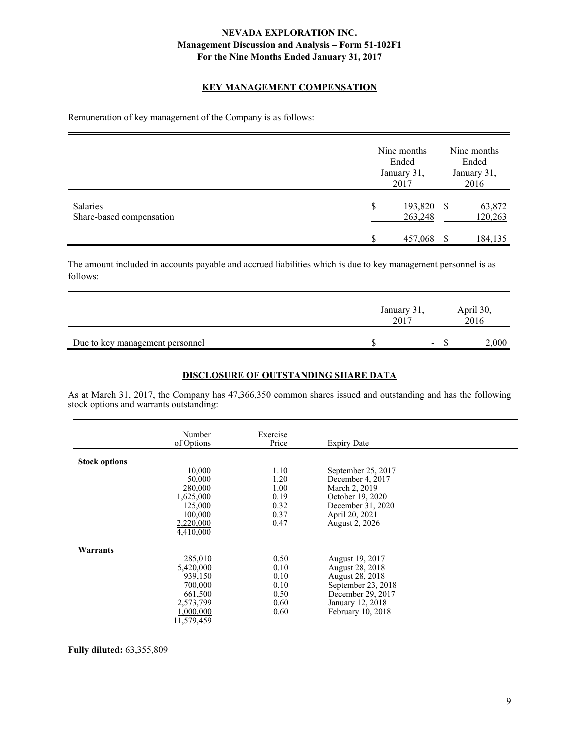## **KEY MANAGEMENT COMPENSATION**

Remuneration of key management of the Company is as follows:

|                                             | Nine months<br>Ended<br>January 31,<br>2017 | Nine months<br>Ended<br>January 31,<br>2016 |                   |  |
|---------------------------------------------|---------------------------------------------|---------------------------------------------|-------------------|--|
| <b>Salaries</b><br>Share-based compensation | \$<br>193,820<br>263,248                    | -S                                          | 63,872<br>120,263 |  |
|                                             | \$<br>457,068                               |                                             | 184,135           |  |

The amount included in accounts payable and accrued liabilities which is due to key management personnel is as follows:

|                                 | January 31,<br>2017 |   | April 30,<br>2016 |       |
|---------------------------------|---------------------|---|-------------------|-------|
| Due to key management personnel |                     | ۰ |                   | 2,000 |

## **DISCLOSURE OF OUTSTANDING SHARE DATA**

As at March 31, 2017, the Company has 47,366,350 common shares issued and outstanding and has the following stock options and warrants outstanding:

|                      | Number<br>of Options | Exercise<br>Price | <b>Expiry Date</b> |  |
|----------------------|----------------------|-------------------|--------------------|--|
|                      |                      |                   |                    |  |
| <b>Stock options</b> |                      |                   |                    |  |
|                      | 10,000               | 1.10              | September 25, 2017 |  |
|                      | 50,000               | 1.20              | December 4, 2017   |  |
|                      | 280,000              | 1.00              | March 2, 2019      |  |
|                      | 1,625,000            | 0.19              | October 19, 2020   |  |
|                      | 125,000              | 0.32              | December 31, 2020  |  |
|                      | 100,000              | 0.37              | April 20, 2021     |  |
|                      | 2,220,000            | 0.47              | August 2, 2026     |  |
|                      | 4,410,000            |                   |                    |  |
| Warrants             |                      |                   |                    |  |
|                      | 285,010              | 0.50              | August 19, 2017    |  |
|                      | 5,420,000            | 0.10              | August 28, 2018    |  |
|                      | 939,150              | 0.10              | August 28, 2018    |  |
|                      | 700,000              | 0.10              | September 23, 2018 |  |
|                      | 661,500              | 0.50              | December 29, 2017  |  |
|                      | 2,573,799            | 0.60              | January 12, 2018   |  |
|                      | 1,000,000            | 0.60              | February 10, 2018  |  |
|                      | 11,579,459           |                   |                    |  |
|                      |                      |                   |                    |  |

**Fully diluted:** 63,355,809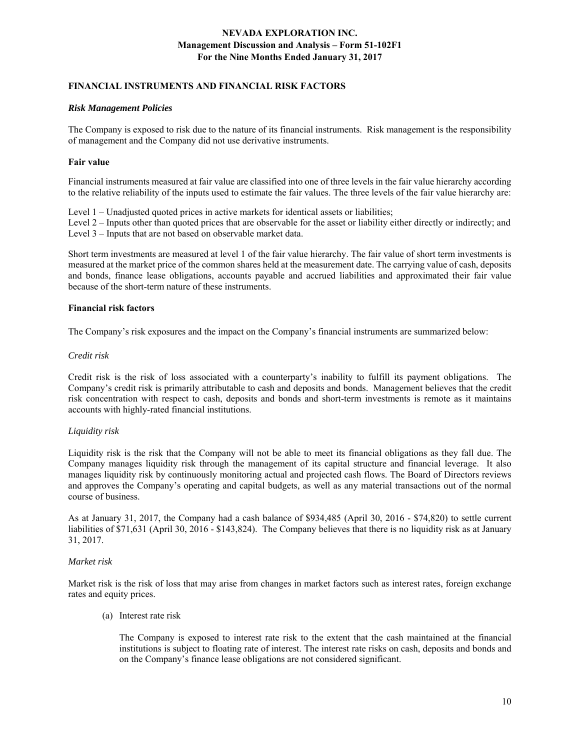## **FINANCIAL INSTRUMENTS AND FINANCIAL RISK FACTORS**

#### *Risk Management Policies*

The Company is exposed to risk due to the nature of its financial instruments. Risk management is the responsibility of management and the Company did not use derivative instruments.

#### **Fair value**

Financial instruments measured at fair value are classified into one of three levels in the fair value hierarchy according to the relative reliability of the inputs used to estimate the fair values. The three levels of the fair value hierarchy are:

Level 1 – Unadjusted quoted prices in active markets for identical assets or liabilities;

Level 2 – Inputs other than quoted prices that are observable for the asset or liability either directly or indirectly; and Level 3 – Inputs that are not based on observable market data.

Short term investments are measured at level 1 of the fair value hierarchy. The fair value of short term investments is measured at the market price of the common shares held at the measurement date. The carrying value of cash, deposits and bonds, finance lease obligations, accounts payable and accrued liabilities and approximated their fair value because of the short-term nature of these instruments.

#### **Financial risk factors**

The Company's risk exposures and the impact on the Company's financial instruments are summarized below:

#### *Credit risk*

Credit risk is the risk of loss associated with a counterparty's inability to fulfill its payment obligations. The Company's credit risk is primarily attributable to cash and deposits and bonds. Management believes that the credit risk concentration with respect to cash, deposits and bonds and short-term investments is remote as it maintains accounts with highly-rated financial institutions.

## *Liquidity risk*

Liquidity risk is the risk that the Company will not be able to meet its financial obligations as they fall due. The Company manages liquidity risk through the management of its capital structure and financial leverage. It also manages liquidity risk by continuously monitoring actual and projected cash flows. The Board of Directors reviews and approves the Company's operating and capital budgets, as well as any material transactions out of the normal course of business.

As at January 31, 2017, the Company had a cash balance of \$934,485 (April 30, 2016 - \$74,820) to settle current liabilities of \$71,631 (April 30, 2016 - \$143,824). The Company believes that there is no liquidity risk as at January 31, 2017.

## *Market risk*

Market risk is the risk of loss that may arise from changes in market factors such as interest rates, foreign exchange rates and equity prices.

(a) Interest rate risk

 The Company is exposed to interest rate risk to the extent that the cash maintained at the financial institutions is subject to floating rate of interest. The interest rate risks on cash, deposits and bonds and on the Company's finance lease obligations are not considered significant.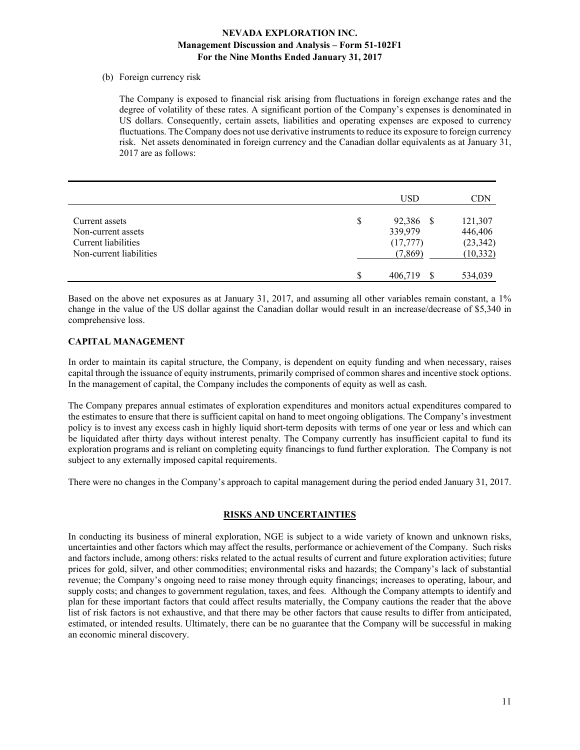#### (b) Foreign currency risk

The Company is exposed to financial risk arising from fluctuations in foreign exchange rates and the degree of volatility of these rates. A significant portion of the Company's expenses is denominated in US dollars. Consequently, certain assets, liabilities and operating expenses are exposed to currency fluctuations. The Company does not use derivative instruments to reduce its exposure to foreign currency risk. Net assets denominated in foreign currency and the Canadian dollar equivalents as at January 31, 2017 are as follows:

|                         | USD             | CDN       |
|-------------------------|-----------------|-----------|
|                         |                 |           |
| Current assets          | \$<br>92,386 \$ | 121,307   |
| Non-current assets      | 339,979         | 446,406   |
| Current liabilities     | (17, 777)       | (23, 342) |
| Non-current liabilities | (7,869)         | (10, 332) |
|                         | \$<br>406,719   | 534,039   |

Based on the above net exposures as at January 31, 2017, and assuming all other variables remain constant, a 1% change in the value of the US dollar against the Canadian dollar would result in an increase/decrease of \$5,340 in comprehensive loss.

## **CAPITAL MANAGEMENT**

In order to maintain its capital structure, the Company, is dependent on equity funding and when necessary, raises capital through the issuance of equity instruments, primarily comprised of common shares and incentive stock options. In the management of capital, the Company includes the components of equity as well as cash.

The Company prepares annual estimates of exploration expenditures and monitors actual expenditures compared to the estimates to ensure that there is sufficient capital on hand to meet ongoing obligations. The Company's investment policy is to invest any excess cash in highly liquid short-term deposits with terms of one year or less and which can be liquidated after thirty days without interest penalty. The Company currently has insufficient capital to fund its exploration programs and is reliant on completing equity financings to fund further exploration. The Company is not subject to any externally imposed capital requirements.

There were no changes in the Company's approach to capital management during the period ended January 31, 2017.

## **RISKS AND UNCERTAINTIES**

In conducting its business of mineral exploration, NGE is subject to a wide variety of known and unknown risks, uncertainties and other factors which may affect the results, performance or achievement of the Company. Such risks and factors include, among others: risks related to the actual results of current and future exploration activities; future prices for gold, silver, and other commodities; environmental risks and hazards; the Company's lack of substantial revenue; the Company's ongoing need to raise money through equity financings; increases to operating, labour, and supply costs; and changes to government regulation, taxes, and fees. Although the Company attempts to identify and plan for these important factors that could affect results materially, the Company cautions the reader that the above list of risk factors is not exhaustive, and that there may be other factors that cause results to differ from anticipated, estimated, or intended results. Ultimately, there can be no guarantee that the Company will be successful in making an economic mineral discovery.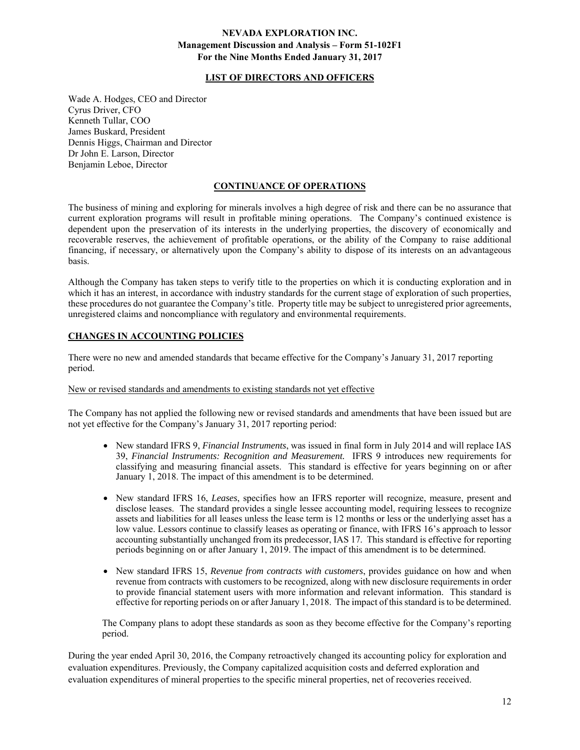## **LIST OF DIRECTORS AND OFFICERS**

Wade A. Hodges, CEO and Director Cyrus Driver, CFO Kenneth Tullar, COO James Buskard, President Dennis Higgs, Chairman and Director Dr John E. Larson, Director Benjamin Leboe, Director

#### **CONTINUANCE OF OPERATIONS**

The business of mining and exploring for minerals involves a high degree of risk and there can be no assurance that current exploration programs will result in profitable mining operations. The Company's continued existence is dependent upon the preservation of its interests in the underlying properties, the discovery of economically and recoverable reserves, the achievement of profitable operations, or the ability of the Company to raise additional financing, if necessary, or alternatively upon the Company's ability to dispose of its interests on an advantageous basis.

Although the Company has taken steps to verify title to the properties on which it is conducting exploration and in which it has an interest, in accordance with industry standards for the current stage of exploration of such properties, these procedures do not guarantee the Company's title. Property title may be subject to unregistered prior agreements, unregistered claims and noncompliance with regulatory and environmental requirements.

## **CHANGES IN ACCOUNTING POLICIES**

There were no new and amended standards that became effective for the Company's January 31, 2017 reporting period.

#### New or revised standards and amendments to existing standards not yet effective

The Company has not applied the following new or revised standards and amendments that have been issued but are not yet effective for the Company's January 31, 2017 reporting period:

- New standard IFRS 9, *Financial Instruments*, was issued in final form in July 2014 and will replace IAS 39, *Financial Instruments: Recognition and Measurement.* IFRS 9 introduces new requirements for classifying and measuring financial assets. This standard is effective for years beginning on or after January 1, 2018. The impact of this amendment is to be determined.
- New standard IFRS 16, *Leases*, specifies how an IFRS reporter will recognize, measure, present and disclose leases. The standard provides a single lessee accounting model, requiring lessees to recognize assets and liabilities for all leases unless the lease term is 12 months or less or the underlying asset has a low value. Lessors continue to classify leases as operating or finance, with IFRS 16's approach to lessor accounting substantially unchanged from its predecessor, IAS 17. This standard is effective for reporting periods beginning on or after January 1, 2019. The impact of this amendment is to be determined.
- New standard IFRS 15, *Revenue from contracts with customers*, provides guidance on how and when revenue from contracts with customers to be recognized, along with new disclosure requirements in order to provide financial statement users with more information and relevant information. This standard is effective for reporting periods on or after January 1, 2018. The impact of this standard is to be determined.

The Company plans to adopt these standards as soon as they become effective for the Company's reporting period.

During the year ended April 30, 2016, the Company retroactively changed its accounting policy for exploration and evaluation expenditures. Previously, the Company capitalized acquisition costs and deferred exploration and evaluation expenditures of mineral properties to the specific mineral properties, net of recoveries received.